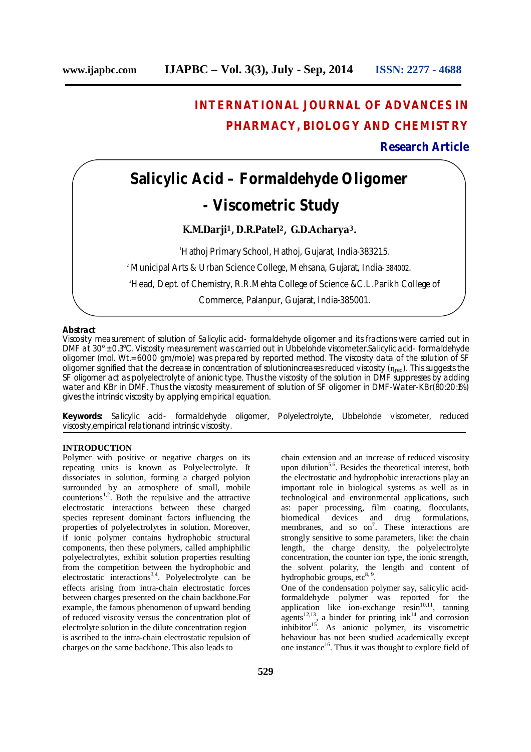# **INTERNATIONAL JOURNAL OF ADVANCES IN PHARMACY, BIOLOGY AND CHEMISTRY**

# **Research Article**

# **Salicylic Acid – Formaldehyde Oligomer**

# **- Viscometric Study**

# **K.M.Darji <sup>1</sup>, D.R.Patel <sup>2</sup>, G.D.Acharya3.**

<sup>1</sup>Hathoj Primary School, Hathoj, Gujarat, India-383215. <sup>2</sup> Municipal Arts & Urban Science College, Mehsana, Gujarat, India- 384002. <sup>3</sup>Head, Dept. of Chemistry, R.R.Mehta College of Science &C.L.Parikh College of Commerce, Palanpur, Gujarat, India-385001.

## **Abstract**

Viscosity measurement of solution of Salicylic acid- formaldehyde oligomer and its fractions were carried out in DMF at 30° ± 0.3°C. Viscosity measurement was carried out in Ubbelohde viscometer.Salicylic acid- formaldehyde oligomer (mol. Wt.= 6000 gm/mole) was prepared by reported method. The viscosity data of the solution of SF oligomer signified that the decrease in concentration of solutionincreases reduced viscosity  $(n_{red})$ . This suggests the SF oligomer act as polyelectrolyte of anionic type. Thus the viscosity of the solution in DMF suppresses by adding water and KBr in DMF. Thus the viscosity measurement of solution of SF oligomer in DMF-Water-KBr(80:20:1%) gives the intrinsic viscosity by applying empirical equation.

**Keywords:** Salicylic acid- formaldehyde oligomer, Polyelectrolyte, Ubbelohde viscometer, reduced viscosity,empirical relationand intrinsic viscosity.

## **INTRODUCTION**

Polymer with positive or negative charges on its repeating units is known as Polyelectrolyte. It dissociates in solution, forming a charged polyion surrounded by an atmosphere of small, mobile counterions<sup>1,2</sup>. Both the repulsive and the attractive electrostatic interactions between these charged species represent dominant factors influencing the properties of polyelectrolytes in solution. Moreover, if ionic polymer contains hydrophobic structural components, then these polymers, called amphiphilic polyelectrolytes, exhibit solution properties resulting from the competition between the hydrophobic and electrostatic interactions<sup>3,4</sup>. Polyelectrolyte can be effects arising from intra-chain electrostatic forces between charges presented on the chain backbone.For example, the famous phenomenon of upward bending of reduced viscosity versus the concentration plot of electrolyte solution in the dilute concentration region is ascribed to the intra-chain electrostatic repulsion of charges on the same backbone. This also leads to

chain extension and an increase of reduced viscosity upon dilution<sup>5,6</sup>. Besides the theoretical interest, both the electrostatic and hydrophobic interactions play an important role in biological systems as well as in technological and environmental applications, such as: paper processing, film coating, flocculants, biomedical devices and drug formulations. and drug formulations, membranes, and so on<sup>7</sup>. These interactions are strongly sensitive to some parameters, like: the chain length, the charge density, the polyelectrolyte concentration, the counter ion type, the ionic strength, the solvent polarity, the length and content of hydrophobic groups, etc<sup>8, 9</sup>. One of the condensation polymer say, salicylic acid-

formaldehyde polymer was reported for the application like ion-exchange resin<sup>10,11</sup>, tanning  $a$ gents<sup>12,13</sup>, a binder for printing ink<sup>14</sup> and corrosion inhibitor<sup>15</sup>. As anionic polymer, its viscometric behaviour has not been studied academically except one instance<sup>16</sup>. Thus it was thought to explore field of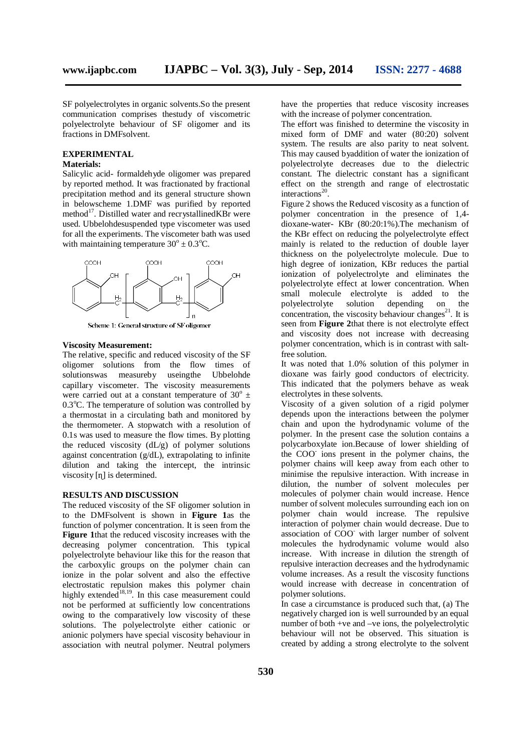SF polyelectrolytes in organic solvents.So the present communication comprises thestudy of viscometric polyelectrolyte behaviour of SF oligomer and its fractions in DMFsolvent.

#### **EXPERIMENTAL Materials:**

Salicylic acid- formaldehyde oligomer was prepared by reported method. It was fractionated by fractional precipitation method and its general structure shown in belowscheme 1.DMF was purified by reported method 17 . Distilled water and recrystallinedKBr were used. Ubbelohdesuspended type viscometer was used for all the experiments. The viscometer bath was used with maintaining temperature  $30^{\circ} \pm 0.3^{\circ}$ C.



Scheme 1: General structure of SF oligomer

#### **Viscosity Measurement:**

The relative, specific and reduced viscosity of the SF oligomer solutions from the flow times of solutionswas measureby useingthe Ubbelohde capillary viscometer. The viscosity measurements were carried out at a constant temperature of  $30^{\circ}$  ± 0.3°C. The temperature of solution was controlled by a thermostat in a circulating bath and monitored by the thermometer. A stopwatch with a resolution of 0.1s was used to measure the flow times. By plotting the reduced viscosity  $(dL/g)$  of polymer solutions against concentration  $(g/dL)$ , extrapolating to infinite dilution and taking the intercept, the intrinsic viscosity [n] is determined.

# **RESULTS AND DISCUSSION**

The reduced viscosity of the SF oligomer solution in to the DMFsolvent is shown in **Figure 1**as the function of polymer concentration. It is seen from the **Figure 1**that the reduced viscosity increases with the decreasing polymer concentration. This typical polyelectrolyte behaviour like this for the reason that the carboxylic groups on the polymer chain can ionize in the polar solvent and also the effective electrostatic repulsion makes this polymer chain highly extended<sup>18,19</sup>. In this case measurement could not be performed at sufficiently low concentrations owing to the comparatively low viscosity of these solutions. The polyelectrolyte either cationic or anionic polymers have special viscosity behaviour in association with neutral polymer. Neutral polymers

have the properties that reduce viscosity increases with the increase of polymer concentration.

The effort was finished to determine the viscosity in mixed form of DMF and water (80:20) solvent system. The results are also parity to neat solvent. This may caused byaddition of water the ionization of polyelectrolyte decreases due to the dielectric constant. The dielectric constant has a significant effect on the strength and range of electrostatic interactions 20 .

Figure 2 shows the Reduced viscosity as a function of polymer concentration in the presence of 1,4 dioxane-water- KBr (80:20:1%).The mechanism of the KBr effect on reducing the polyelectrolyte effect mainly is related to the reduction of double layer thickness on the polyelectrolyte molecule. Due to high degree of ionization, KBr reduces the partial ionization of polyelectrolyte and eliminates the polyelectrolyte effect at lower concentration. When small molecule electrolyte is added to the polyelectrolyte solution depending on the concentration, the viscosity behaviour changes $^{21}$ . It is seen from **Figure 2**that there is not electrolyte effect and viscosity does not increase with decreasing polymer concentration, which is in contrast with saltfree solution.

It was noted that 1.0% solution of this polymer in dioxane was fairly good conductors of electricity. This indicated that the polymers behave as weak electrolytes in these solvents.

Viscosity of a given solution of a rigid polymer depends upon the interactions between the polymer chain and upon the hydrodynamic volume of the polymer. In the present case the solution contains a polycarboxylate ion.Because of lower shielding of the COO - ions present in the polymer chains, the polymer chains will keep away from each other to minimise the repulsive interaction. With increase in dilution, the number of solvent molecules per molecules of polymer chain would increase. Hence number of solvent molecules surrounding each ion on polymer chain would increase. The repulsive interaction of polymer chain would decrease. Due to association of COO with larger number of solvent molecules the hydrodynamic volume would also increase. With increase in dilution the strength of repulsive interaction decreases and the hydrodynamic volume increases. As a result the viscosity functions would increase with decrease in concentration of polymer solutions.

In case a circumstance is produced such that, (a) The negatively charged ion is well surrounded by an equal number of both +ve and –ve ions, the polyelectrolytic behaviour will not be observed. This situation is created by adding a strong electrolyte to the solvent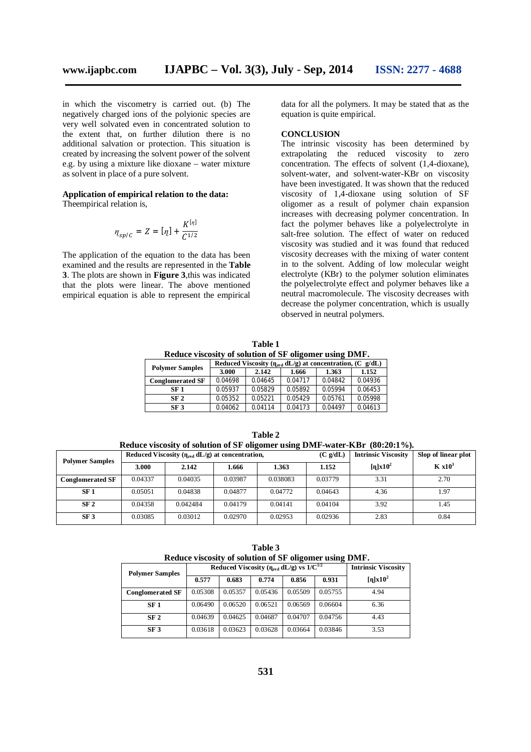in which the viscometry is carried out. (b) The negatively charged ions of the polyionic species are very well solvated even in concentrated solution to the extent that, on further dilution there is no additional salvation or protection. This situation is created by increasing the solvent power of the solvent e.g. by using a mixture like dioxane – water mixture as solvent in place of a pure solvent.

## **Application of empirical relation to the data:**

Theempirical relation is,

$$
\eta_{sp/C} = Z = [\eta] + \frac{K^{[\eta]}}{C^{1/2}}
$$

The application of the equation to the data has been examined and the results are represented in the **Table 3**. The plots are shown in **Figure 3**,this was indicated that the plots were linear. The above mentioned empirical equation is able to represent the empirical

data for all the polymers. It may be stated that as the equation is quite empirical.

#### **CONCLUSION**

The intrinsic viscosity has been determined by extrapolating the reduced viscosity to zero concentration. The effects of solvent (1,4-dioxane), solvent-water, and solvent-water-KBr on viscosity have been investigated. It was shown that the reduced viscosity of 1,4-dioxane using solution of SF oligomer as a result of polymer chain expansion increases with decreasing polymer concentration. In fact the polymer behaves like a polyelectrolyte in salt-free solution. The effect of water on reduced viscosity was studied and it was found that reduced viscosity decreases with the mixing of water content in to the solvent. Adding of low molecular weight electrolyte (KBr) to the polymer solution eliminates the polyelectrolyte effect and polymer behaves like a neutral macromolecule. The viscosity decreases with decrease the polymer concentration, which is usually observed in neutral polymers.

**Table 1 Reduce viscosity of solution of SF oligomer using DMF.**

|                         | Reduced Viscosity ( $\eta_{\text{red}}$ dL/g) at concentration, (C g/dL) |         |         |         |         |  |
|-------------------------|--------------------------------------------------------------------------|---------|---------|---------|---------|--|
| <b>Polymer Samples</b>  | 3.000                                                                    | 2.142   | 1.666   | 1.363   | 1.152   |  |
| <b>Conglomerated SF</b> | 0.04698                                                                  | 0.04645 | 0.04717 | 0.04842 | 0.04936 |  |
| SF 1                    | 0.05937                                                                  | 0.05829 | 0.05892 | 0.05994 | 0.06453 |  |
| SF <sub>2</sub>         | 0.05352                                                                  | 0.05221 | 0.05429 | 0.05761 | 0.05998 |  |
| SF <sub>3</sub>         | 0.04062                                                                  | 0.04114 | 0.04173 | 0.04497 | 0.04613 |  |

| Reduce viscosity of solution of SF oligomer using DMF-water-KBr (80:20:1%). |                                                         |          |         |          |                  |                            |                     |  |
|-----------------------------------------------------------------------------|---------------------------------------------------------|----------|---------|----------|------------------|----------------------------|---------------------|--|
| <b>Polymer Samples</b>                                                      | Reduced Viscosity $(\eta_{red} dL/g)$ at concentration, |          |         |          | $(C \varrho/dL)$ | <b>Intrinsic Viscosity</b> | Slop of linear plot |  |
|                                                                             | 3.000                                                   | 2.142    | 1.666   | 1.363    | 1.152            | $[n]x10^2$                 | K x10 <sup>3</sup>  |  |
| <b>Conglomerated SF</b>                                                     | 0.04337                                                 | 0.04035  | 0.03987 | 0.038083 | 0.03779          | 3.31                       | 2.70                |  |
| SF <sub>1</sub>                                                             | 0.05051                                                 | 0.04838  | 0.04877 | 0.04772  | 0.04643          | 4.36                       | 1.97                |  |
| SF <sub>2</sub>                                                             | 0.04358                                                 | 0.042484 | 0.04179 | 0.04141  | 0.04104          | 3.92                       | 1.45                |  |
| SF <sub>3</sub>                                                             | 0.03085                                                 | 0.03012  | 0.02970 | 0.02953  | 0.02936          | 2.83                       | 0.84                |  |

**Table 2**

| Table 3                                                |  |  |  |  |  |  |
|--------------------------------------------------------|--|--|--|--|--|--|
| Reduce viscosity of solution of SF oligomer using DMF. |  |  |  |  |  |  |

| <b>Polymer Samples</b>  |         | Reduced Viscosity ( $\eta_{red}$ dL/g) vs $1/C^{1/2}$ | <b>Intrinsic Viscosity</b> |         |         |                          |
|-------------------------|---------|-------------------------------------------------------|----------------------------|---------|---------|--------------------------|
|                         | 0.577   | 0.683                                                 | 0.774                      | 0.856   | 0.931   | $\left[\eta\right]x10^2$ |
| <b>Conglomerated SF</b> | 0.05308 | 0.05357                                               | 0.05436                    | 0.05509 | 0.05755 | 4.94                     |
| SF <sub>1</sub>         | 0.06490 | 0.06520                                               | 0.06521                    | 0.06569 | 0.06604 | 6.36                     |
| SF <sub>2</sub>         | 0.04639 | 0.04625                                               | 0.04687                    | 0.04707 | 0.04756 | 4.43                     |
| SF <sub>3</sub>         | 0.03618 | 0.03623                                               | 0.03628                    | 0.03664 | 0.03846 | 3.53                     |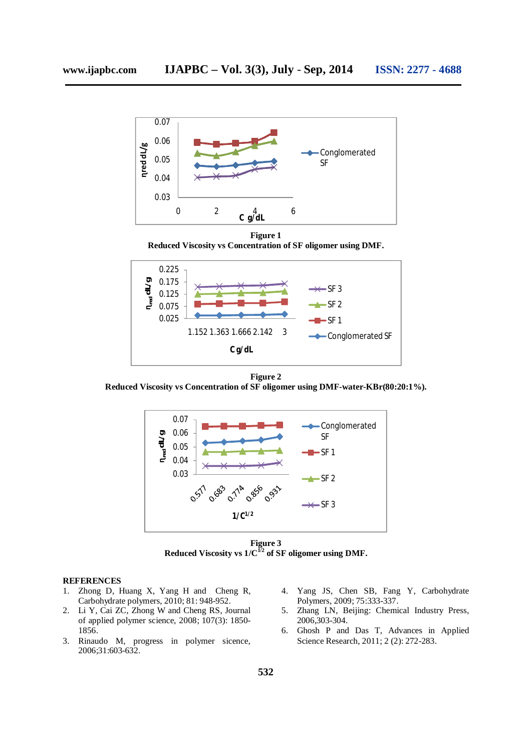

**Figure 1 Reduced Viscosity vs Concentration of SF oligomer using DMF.**



**Figure 2**

**Reduced Viscosity vs Concentration of SF oligomer using DMF-water-KBr(80:20:1%).**



**Figure 3 Reduced Viscosity vs 1/C 1/2 of SF oligomer using DMF.**

### **REFERENCES**

- 1. Zhong D, Huang X, Yang H and Cheng R, Carbohydrate polymers, 2010; 81: 948-952.
- 2. Li Y, Cai ZC, Zhong W and Cheng RS, Journal of applied polymer science, 2008; 107(3): 1850- 1856.
- 3. Rinaudo M, progress in polymer sicence, 2006;31:603-632.
- 4. Yang JS, Chen SB, Fang Y, Carbohydrate Polymers, 2009; 75:333-337.
- 5. Zhang LN, Beijing: Chemical Industry Press, 2006,303-304.
- 6. Ghosh P and Das T, Advances in Applied Science Research, 2011; 2 (2): 272-283.